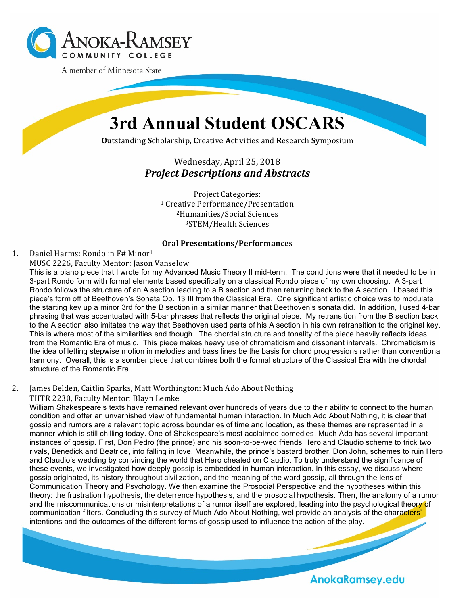

A member of Minnesota State

# **3rd Annual Student OSCARS**

**O**utstanding **S**cholarship, **C**reative **A**ctivities and **R**esearch **S**ymposium

# Wednesday, April 25, 2018 *Project Descriptions and Abstracts*

Project Categories: <sup>1</sup> Creative Performance/Presentation 2Humanities/Social Sciences 3STEM/Health Sciences

#### **Oral Presentations/Performances**

1. Daniel Harms: Rondo in F# Minor1

MUSC 2226, Faculty Mentor: Jason Vanselow

This is a piano piece that I wrote for my Advanced Music Theory II mid-term. The conditions were that it needed to be in 3-part Rondo form with formal elements based specifically on a classical Rondo piece of my own choosing. A 3-part Rondo follows the structure of an A section leading to a B section and then returning back to the A section. I based this piece's form off of Beethoven's Sonata Op. 13 III from the Classical Era. One significant artistic choice was to modulate the starting key up a minor 3rd for the B section in a similar manner that Beethoven's sonata did. In addition, I used 4-bar phrasing that was accentuated with 5-bar phrases that reflects the original piece. My retransition from the B section back to the A section also imitates the way that Beethoven used parts of his A section in his own retransition to the original key. This is where most of the similarities end though. The chordal structure and tonality of the piece heavily reflects ideas from the Romantic Era of music. This piece makes heavy use of chromaticism and dissonant intervals. Chromaticism is the idea of letting stepwise motion in melodies and bass lines be the basis for chord progressions rather than conventional harmony. Overall, this is a somber piece that combines both the formal structure of the Classical Era with the chordal structure of the Romantic Era.

2. James Belden, Caitlin Sparks, Matt Worthington: Much Ado About Nothing<sup>1</sup>

#### THTR 2230, Faculty Mentor: Blayn Lemke

3. Axel Kylander: Around a Judgement Day1

William Shakespeare's texts have remained relevant over hundreds of years due to their ability to connect to the human condition and offer an unvarnished view of fundamental human interaction. In Much Ado About Nothing, it is clear that gossip and rumors are a relevant topic across boundaries of time and location, as these themes are represented in a manner which is still chilling today. One of Shakespeare's most acclaimed comedies, Much Ado has several important instances of gossip. First, Don Pedro (the prince) and his soon-to-be-wed friends Hero and Claudio scheme to trick two rivals, Benedick and Beatrice, into falling in love. Meanwhile, the prince's bastard brother, Don John, schemes to ruin Hero and Claudio's wedding by convincing the world that Hero cheated on Claudio. To truly understand the significance of these events, we investigated how deeply gossip is embedded in human interaction. In this essay, we discuss where gossip originated, its history throughout civilization, and the meaning of the word gossip, all through the lens of Communication Theory and Psychology. We then examine the Prosocial Perspective and the hypotheses within this theory: the frustration hypothesis, the deterrence hypothesis, and the prosocial hypothesis. Then, the anatomy of a rumor and the miscommunications or misinterpretations of a rumor itself are explored, leading into the psychological theory of communication filters. Concluding this survey of Much Ado About Nothing, wel provide an analysis of the characters' intentions and the outcomes of the different forms of gossip used to influence the action of the play.

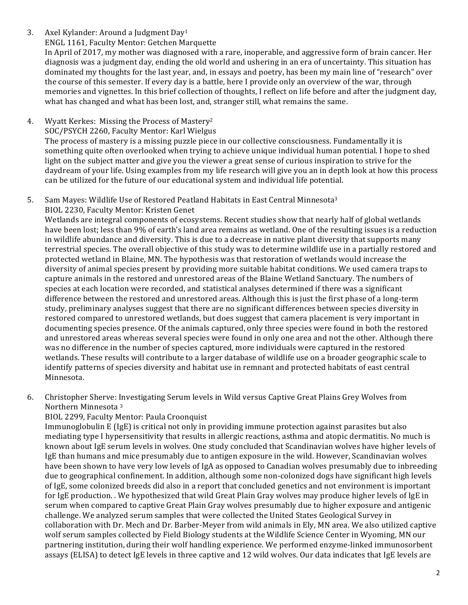3. Axel Kylander: Around a Judgment Day<sup>1</sup>

ENGL 1161, Faculty Mentor: Getchen Marquette

In April of 2017, my mother was diagnosed with a rare, inoperable, and aggressive form of brain cancer. Her diagnosis was a judgment day, ending the old world and ushering in an era of uncertainty. This situation has dominated my thoughts for the last year, and, in essays and poetry, has been my main line of "research" over the course of this semester. If every day is a battle, here I provide only an overview of the war, through memories and vignettes. In this brief collection of thoughts, I reflect on life before and after the judgment day, what has changed and what has been lost, and, stranger still, what remains the same.

- 4. Wyatt Kerkes: Missing the Process of Mastery<sup>2</sup> SOC/PSYCH 2260, Faculty Mentor: Karl Wielgus The process of mastery is a missing puzzle piece in our collective consciousness. Fundamentally it is something quite often overlooked when trying to achieve unique individual human potential. I hope to shed light on the subject matter and give you the viewer a great sense of curious inspiration to strive for the daydream of your life. Using examples from my life research will give you an in depth look at how this process can be utilized for the future of our educational system and individual life potential.
- 5. Sam Mayes: Wildlife Use of Restored Peatland Habitats in East Central Minnesota<sup>3</sup> BIOL 2230, Faculty Mentor: Kristen Genet

Wetlands are integral components of ecosystems. Recent studies show that nearly half of global wetlands have been lost; less than 9% of earth's land area remains as wetland. One of the resulting issues is a reduction in wildlife abundance and diversity. This is due to a decrease in native plant diversity that supports many terrestrial species. The overall objective of this study was to determine wildlife use in a partially restored and protected wetland in Blaine, MN. The hypothesis was that restoration of wetlands would increase the diversity of animal species present by providing more suitable habitat conditions. We used camera traps to capture animals in the restored and unrestored areas of the Blaine Wetland Sanctuary. The numbers of species at each location were recorded, and statistical analyses determined if there was a significant difference between the restored and unrestored areas. Although this is just the first phase of a long-term study, preliminary analyses suggest that there are no significant differences between species diversity in restored compared to unrestored wetlands, but does suggest that camera placement is very important in documenting species presence. Of the animals captured, only three species were found in both the restored and unrestored areas whereas several species were found in only one area and not the other. Although there was no difference in the number of species captured, more individuals were captured in the restored wetlands. These results will contribute to a larger database of wildlife use on a broader geographic scale to identify patterns of species diversity and habitat use in remnant and protected habitats of east central Minnesota.

6. Christopher Sherve: Investigating Serum levels in Wild versus Captive Great Plains Grey Wolves from Northern Minnesota<sup>3</sup>

# BIOL 2299, Faculty Mentor: Paula Croonquist

Immunoglobulin E (IgE) is critical not only in providing immune protection against parasites but also mediating type I hypersensitivity that results in allergic reactions, asthma and atopic dermatitis. No much is known about IgE serum levels in wolves. One study concluded that Scandinavian wolves have higher levels of IgE than humans and mice presumably due to antigen exposure in the wild. However, Scandinavian wolves have been shown to have very low levels of IgA as opposed to Canadian wolves presumably due to inbreeding due to geographical confinement. In addition, although some non-colonized dogs have significant high levels of IgE, some colonized breeds did also in a report that concluded genetics and not environment is important for IgE production. . We hypothesized that wild Great Plain Gray wolves may produce higher levels of IgE in serum when compared to captive Great Plain Gray wolves presumably due to higher exposure and antigenic challenge. We analyzed serum samples that were collected the United States Geological Survey in collaboration with Dr. Mech and Dr. Barber-Meyer from wild animals in Ely, MN area. We also utilized captive wolf serum samples collected by Field Biology students at the Wildlife Science Center in Wyoming, MN our partnering institution, during their wolf handling experience. We performed enzyme-linked immunosorbent assays (ELISA) to detect IgE levels in three captive and 12 wild wolves. Our data indicates that IgE levels are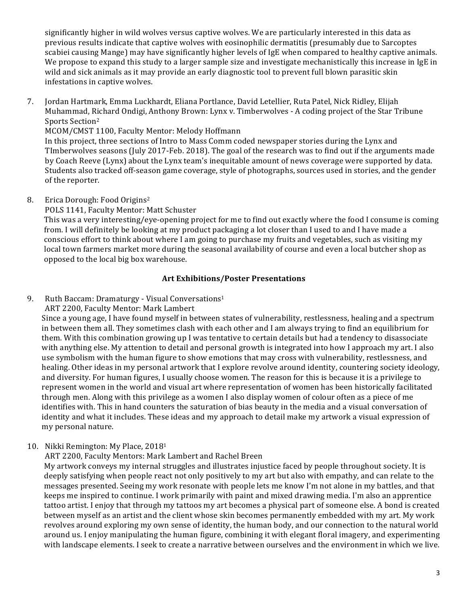significantly higher in wild wolves versus captive wolves. We are particularly interested in this data as previous results indicate that captive wolves with eosinophilic dermatitis (presumably due to Sarcoptes scabiei causing Mange) may have significantly higher levels of IgE when compared to healthy captive animals. We propose to expand this study to a larger sample size and investigate mechanistically this increase in IgE in wild and sick animals as it may provide an early diagnostic tool to prevent full blown parasitic skin infestations in captive wolves.

7. Jordan Hartmark, Emma Luckhardt, Eliana Portlance, David Letellier, Ruta Patel, Nick Ridley, Elijah Muhammad, Richard Ondigi, Anthony Brown: Lynx v. Timberwolves - A coding project of the Star Tribune Sports Section<sup>2</sup>

## MCOM/CMST 1100, Faculty Mentor: Melody Hoffmann

In this project, three sections of Intro to Mass Comm coded newspaper stories during the Lynx and TImberwolves seasons (July 2017-Feb. 2018). The goal of the research was to find out if the arguments made by Coach Reeve (Lynx) about the Lynx team's inequitable amount of news coverage were supported by data. Students also tracked off-season game coverage, style of photographs, sources used in stories, and the gender of the reporter.

- 8. Erica Dorough: Food Origins<sup>2</sup>
	- POLS 1141, Faculty Mentor: Matt Schuster

This was a very interesting/eye-opening project for me to find out exactly where the food I consume is coming from. I will definitely be looking at my product packaging a lot closer than I used to and I have made a conscious effort to think about where I am going to purchase my fruits and vegetables, such as visiting my local town farmers market more during the seasonal availability of course and even a local butcher shop as opposed to the local big box warehouse.

#### **Art Exhibitions/Poster Presentations**

- 9. Ruth Baccam: Dramaturgy Visual Conversations<sup>1</sup>
	- ART 2200, Faculty Mentor: Mark Lambert

Since a young age, I have found myself in between states of vulnerability, restlessness, healing and a spectrum in between them all. They sometimes clash with each other and I am always trying to find an equilibrium for them. With this combination growing up I was tentative to certain details but had a tendency to disassociate with anything else. My attention to detail and personal growth is integrated into how I approach my art. I also use symbolism with the human figure to show emotions that may cross with vulnerability, restlessness, and healing. Other ideas in my personal artwork that I explore revolve around identity, countering society ideology, and diversity. For human figures, I usually choose women. The reason for this is because it is a privilege to represent women in the world and visual art where representation of women has been historically facilitated through men. Along with this privilege as a women I also display women of colour often as a piece of me identifies with. This in hand counters the saturation of bias beauty in the media and a visual conversation of identity and what it includes. These ideas and my approach to detail make my artwork a visual expression of my personal nature.

10. Nikki Remington: My Place, 2018<sup>1</sup>

# ART 2200, Faculty Mentors: Mark Lambert and Rachel Breen

My artwork conveys my internal struggles and illustrates injustice faced by people throughout society. It is deeply satisfying when people react not only positively to my art but also with empathy, and can relate to the messages presented. Seeing my work resonate with people lets me know I'm not alone in my battles, and that keeps me inspired to continue. I work primarily with paint and mixed drawing media. I'm also an apprentice tattoo artist. I enjoy that through my tattoos my art becomes a physical part of someone else. A bond is created between myself as an artist and the client whose skin becomes permanently embedded with my art. My work revolves around exploring my own sense of identity, the human body, and our connection to the natural world around us. I enjoy manipulating the human figure, combining it with elegant floral imagery, and experimenting with landscape elements. I seek to create a narrative between ourselves and the environment in which we live.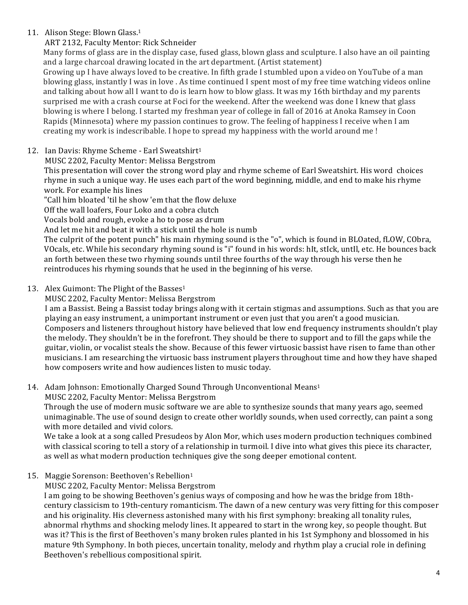# 11. Alison Stege: Blown Glass.<sup>1</sup>

## ART 2132, Faculty Mentor: Rick Schneider

Many forms of glass are in the display case, fused glass, blown glass and sculpture. I also have an oil painting and a large charcoal drawing located in the art department. (Artist statement)

Growing up I have always loved to be creative. In fifth grade I stumbled upon a video on YouTube of a man blowing glass, instantly I was in love . As time continued I spent most of my free time watching videos online and talking about how all I want to do is learn how to blow glass. It was my 16th birthday and my parents surprised me with a crash course at Foci for the weekend. After the weekend was done I knew that glass blowing is where I belong. I started my freshman year of college in fall of 2016 at Anoka Ramsey in Coon Rapids (Minnesota) where my passion continues to grow. The feeling of happiness I receive when I am creating my work is indescribable. I hope to spread my happiness with the world around me!

- 12. Ian Davis: Rhyme Scheme Earl Sweatshirt<sup>1</sup>
	- MUSC 2202, Faculty Mentor: Melissa Bergstrom

This presentation will cover the strong word play and rhyme scheme of Earl Sweatshirt. His word choices rhyme in such a unique way. He uses each part of the word beginning, middle, and end to make his rhyme work. For example his lines

"Call him bloated 'til he show 'em that the flow deluxe

Off the wall loafers, Four Loko and a cobra clutch

Vocals bold and rough, evoke a ho to pose as drum

And let me hit and beat it with a stick until the hole is numb

The culprit of the potent punch" his main rhyming sound is the "o", which is found in BLOated, fLOW, CObra, VOcals, etc. While his secondary rhyming sound is "i" found in his words: hIt, stIck, untIl, etc. He bounces back an forth between these two rhyming sounds until three fourths of the way through his verse then he reintroduces his rhyming sounds that he used in the beginning of his verse.

13. Alex Guimont: The Plight of the Basses<sup>1</sup>

MUSC 2202, Faculty Mentor: Melissa Bergstrom

I am a Bassist. Being a Bassist today brings along with it certain stigmas and assumptions. Such as that you are playing an easy instrument, a unimportant instrument or even just that you aren't a good musician. Composers and listeners throughout history have believed that low end frequency instruments shouldn't play the melody. They shouldn't be in the forefront. They should be there to support and to fill the gaps while the guitar, violin, or vocalist steals the show. Because of this fewer virtuosic bassist have risen to fame than other musicians. I am researching the virtuosic bass instrument players throughout time and how they have shaped how composers write and how audiences listen to music today.

14. Adam Johnson: Emotionally Charged Sound Through Unconventional Means<sup>1</sup>

MUSC 2202, Faculty Mentor: Melissa Bergstrom

Through the use of modern music software we are able to synthesize sounds that many years ago, seemed unimaginable. The use of sound design to create other worldly sounds, when used correctly, can paint a song with more detailed and vivid colors.

We take a look at a song called Presudeos by Alon Mor, which uses modern production techniques combined with classical scoring to tell a story of a relationship in turmoil. I dive into what gives this piece its character, as well as what modern production techniques give the song deeper emotional content.

15. Maggie Sorenson: Beethoven's Rebellion<sup>1</sup>

MUSC 2202, Faculty Mentor: Melissa Bergstrom

I am going to be showing Beethoven's genius ways of composing and how he was the bridge from 18thcentury classicism to 19th-century romanticism. The dawn of a new century was very fitting for this composer and his originality. His cleverness astonished many with his first symphony: breaking all tonality rules, abnormal rhythms and shocking melody lines. It appeared to start in the wrong key, so people thought. But was it? This is the first of Beethoven's many broken rules planted in his 1st Symphony and blossomed in his mature 9th Symphony. In both pieces, uncertain tonality, melody and rhythm play a crucial role in defining Beethoven's rebellious compositional spirit.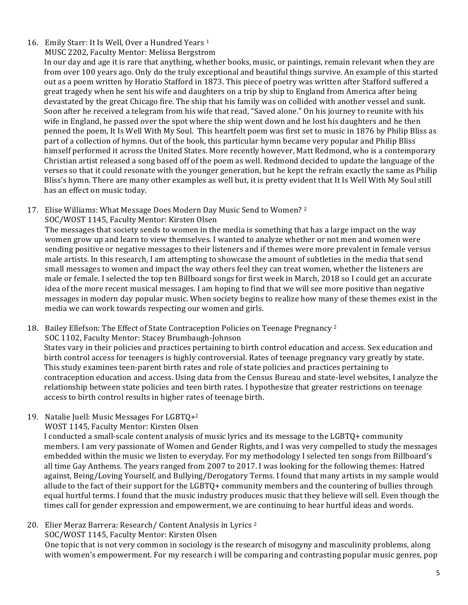16. Emily Starr: It Is Well, Over a Hundred Years<sup>1</sup>

# MUSC 2202, Faculty Mentor: Melissa Bergstrom

In our day and age it is rare that anything, whether books, music, or paintings, remain relevant when they are from over 100 years ago. Only do the truly exceptional and beautiful things survive. An example of this started out as a poem written by Horatio Stafford in 1873. This piece of poetry was written after Stafford suffered a great tragedy when he sent his wife and daughters on a trip by ship to England from America after being devastated by the great Chicago fire. The ship that his family was on collided with another vessel and sunk. Soon after he received a telegram from his wife that read, "Saved alone." On his journey to reunite with his wife in England, he passed over the spot where the ship went down and he lost his daughters and he then penned the poem, It Is Well With My Soul. This heartfelt poem was first set to music in 1876 by Philip Bliss as part of a collection of hymns. Out of the book, this particular hymn became very popular and Philip Bliss himself performed it across the United States. More recently however, Matt Redmond, who is a contemporary Christian artist released a song based off of the poem as well. Redmond decided to update the language of the verses so that it could resonate with the younger generation, but he kept the refrain exactly the same as Philip Bliss's hymn. There are many other examples as well but, it is pretty evident that It Is Well With My Soul still has an effect on music today.

17. Elise Williams: What Message Does Modern Day Music Send to Women? 2 SOC/WOST 1145, Faculty Mentor: Kirsten Olsen

The messages that society sends to women in the media is something that has a large impact on the way women grow up and learn to view themselves. I wanted to analyze whether or not men and women were sending positive or negative messages to their listeners and if themes were more prevalent in female versus male artists. In this research, I am attempting to showcase the amount of subtleties in the media that send small messages to women and impact the way others feel they can treat women, whether the listeners are male or female. I selected the top ten Billboard songs for first week in March, 2018 so I could get an accurate idea of the more recent musical messages. I am hoping to find that we will see more positive than negative messages in modern day popular music. When society begins to realize how many of these themes exist in the media we can work towards respecting our women and girls.

18. Bailey Ellefson: The Effect of State Contraception Policies on Teenage Pregnancy<sup>2</sup>

SOC 1102, Faculty Mentor: Stacey Brumbaugh-Johnson States vary in their policies and practices pertaining to birth control education and access. Sex education and birth control access for teenagers is highly controversial. Rates of teenage pregnancy vary greatly by state. This study examines teen-parent birth rates and role of state policies and practices pertaining to contraception education and access. Using data from the Census Bureau and state-level websites, I analyze the relationship between state policies and teen birth rates. I hypothesize that greater restrictions on teenage access to birth control results in higher rates of teenage birth.

19. Natalie Juell: Music Messages For  $LGBTO+2$ 

WOST 1145, Faculty Mentor: Kirsten Olsen

I conducted a small-scale content analysis of music lyrics and its message to the LGBTQ+ community members. I am very passionate of Women and Gender Rights, and I was very compelled to study the messages embedded within the music we listen to everyday. For my methodology I selected ten songs from Billboard's all time Gay Anthems. The years ranged from 2007 to 2017. I was looking for the following themes: Hatred against, Being/Loving Yourself, and Bullying/Derogatory Terms. I found that many artists in my sample would allude to the fact of their support for the LGBTQ+ community members and the countering of bullies through equal hurtful terms. I found that the music industry produces music that they believe will sell. Even though the times call for gender expression and empowerment, we are continuing to hear hurtful ideas and words.

20. Elier Meraz Barrera: Research/ Content Analysis in Lyrics<sup>2</sup> SOC/WOST 1145, Faculty Mentor: Kirsten Olsen One topic that is not very common in sociology is the research of misogyny and masculinity problems, along with women's empowerment. For my research i will be comparing and contrasting popular music genres, pop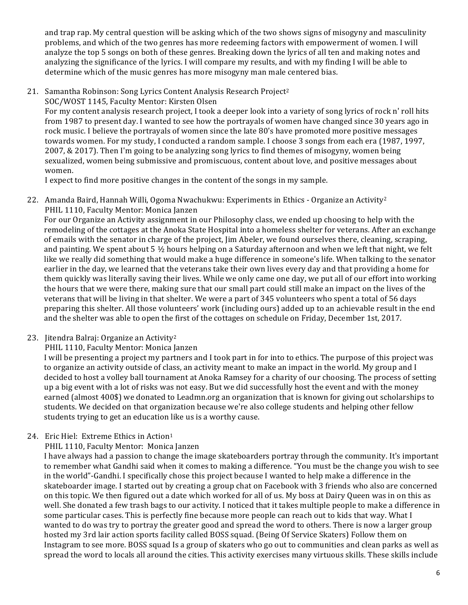and trap rap. My central question will be asking which of the two shows signs of misogyny and masculinity problems, and which of the two genres has more redeeming factors with empowerment of women. I will analyze the top 5 songs on both of these genres. Breaking down the lyrics of all ten and making notes and analyzing the significance of the lyrics. I will compare my results, and with my finding I will be able to determine which of the music genres has more misogyny man male centered bias.

## 21. Samantha Robinson: Song Lyrics Content Analysis Research Project<sup>2</sup>

#### SOC/WOST 1145, Faculty Mentor: Kirsten Olsen

For my content analysis research project, I took a deeper look into a variety of song lyrics of rock n' roll hits from 1987 to present day. I wanted to see how the portrayals of women have changed since 30 years ago in rock music. I believe the portrayals of women since the late 80's have promoted more positive messages towards women. For my study, I conducted a random sample. I choose 3 songs from each era (1987, 1997, 2007,  $& 2017$ ). Then I'm going to be analyzing song lyrics to find themes of misogyny, women being sexualized, women being submissive and promiscuous, content about love, and positive messages about women.

I expect to find more positive changes in the content of the songs in my sample.

22. Amanda Baird, Hannah Willi, Ogoma Nwachukwu: Experiments in Ethics - Organize an Activity<sup>2</sup> PHIL 1110, Faculty Mentor: Monica Janzen

For our Organize an Activity assignment in our Philosophy class, we ended up choosing to help with the remodeling of the cottages at the Anoka State Hospital into a homeless shelter for veterans. After an exchange of emails with the senator in charge of the project, I im Abeler, we found ourselves there, cleaning, scraping, and painting. We spent about  $5 \frac{1}{2}$  hours helping on a Saturday afternoon and when we left that night, we felt like we really did something that would make a huge difference in someone's life. When talking to the senator earlier in the day, we learned that the veterans take their own lives every day and that providing a home for them quickly was literally saving their lives. While we only came one day, we put all of our effort into working the hours that we were there, making sure that our small part could still make an impact on the lives of the veterans that will be living in that shelter. We were a part of 345 volunteers who spent a total of 56 days preparing this shelter. All those volunteers' work (including ours) added up to an achievable result in the end and the shelter was able to open the first of the cottages on schedule on Friday, December 1st, 2017.

#### 23. Jitendra Balraj: Organize an Activity<sup>2</sup>

#### PHIL 1110, Faculty Mentor: Monica Janzen

I will be presenting a project my partners and I took part in for into to ethics. The purpose of this project was to organize an activity outside of class, an activity meant to make an impact in the world. My group and I decided to host a volley ball tournament at Anoka Ramsey for a charity of our choosing. The process of setting up a big event with a lot of risks was not easy. But we did successfully host the event and with the money earned (almost 400\$) we donated to Leadmn.org an organization that is known for giving out scholarships to students. We decided on that organization because we're also college students and helping other fellow students trying to get an education like us is a worthy cause.

# 24. Eric Hiel: Extreme Ethics in Action<sup>1</sup>

# PHIL 1110, Faculty Mentor: Monica Janzen

I have always had a passion to change the image skateboarders portray through the community. It's important to remember what Gandhi said when it comes to making a difference. "You must be the change you wish to see in the world"-Gandhi. I specifically chose this project because I wanted to help make a difference in the skateboarder image. I started out by creating a group chat on Facebook with 3 friends who also are concerned on this topic. We then figured out a date which worked for all of us. My boss at Dairy Queen was in on this as well. She donated a few trash bags to our activity. I noticed that it takes multiple people to make a difference in some particular cases. This is perfectly fine because more people can reach out to kids that way. What I wanted to do was try to portray the greater good and spread the word to others. There is now a larger group hosted my 3rd lair action sports facility called BOSS squad. (Being Of Service Skaters) Follow them on Instagram to see more. BOSS squad Is a group of skaters who go out to communities and clean parks as well as spread the word to locals all around the cities. This activity exercises many virtuous skills. These skills include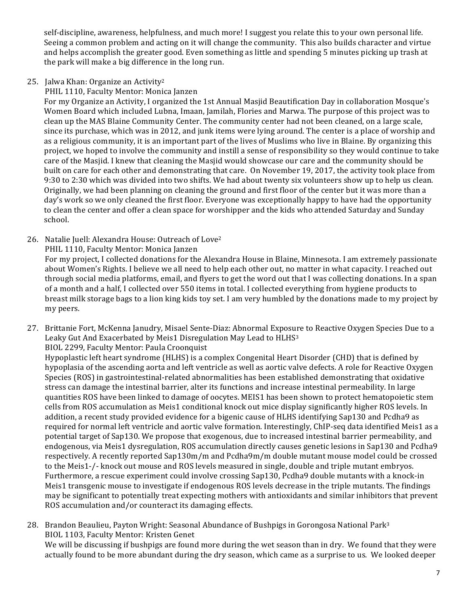self-discipline, awareness, helpfulness, and much more! I suggest you relate this to your own personal life. Seeing a common problem and acting on it will change the community. This also builds character and virtue and helps accomplish the greater good. Even something as little and spending 5 minutes picking up trash at the park will make a big difference in the long run.

25. Jalwa Khan: Organize an Activity<sup>2</sup>

PHIL 1110, Faculty Mentor: Monica Janzen

For my Organize an Activity, I organized the 1st Annual Masjid Beautification Day in collaboration Mosque's Women Board which included Lubna, Imaan, Jamilah, Flories and Marwa. The purpose of this project was to clean up the MAS Blaine Community Center. The community center had not been cleaned, on a large scale, since its purchase, which was in 2012, and junk items were lying around. The center is a place of worship and as a religious community, it is an important part of the lives of Muslims who live in Blaine. By organizing this project, we hoped to involve the community and instill a sense of responsibility so they would continue to take care of the Masjid. I knew that cleaning the Masjid would showcase our care and the community should be built on care for each other and demonstrating that care. On November 19, 2017, the activity took place from 9:30 to 2:30 which was divided into two shifts. We had about twenty six volunteers show up to help us clean. Originally, we had been planning on cleaning the ground and first floor of the center but it was more than a day's work so we only cleaned the first floor. Everyone was exceptionally happy to have had the opportunity to clean the center and offer a clean space for worshipper and the kids who attended Saturday and Sunday school. 

26. Natalie Juell: Alexandra House: Outreach of Love<sup>2</sup>

PHIL 1110, Faculty Mentor: Monica Janzen

For my project, I collected donations for the Alexandra House in Blaine, Minnesota. I am extremely passionate about Women's Rights. I believe we all need to help each other out, no matter in what capacity. I reached out through social media platforms, email, and flyers to get the word out that I was collecting donations. In a span of a month and a half, I collected over 550 items in total. I collected everything from hygiene products to breast milk storage bags to a lion king kids toy set. I am very humbled by the donations made to my project by my peers.

27. Brittanie Fort, McKenna Janudry, Misael Sente-Diaz: Abnormal Exposure to Reactive Oxygen Species Due to a Leaky Gut And Exacerbated by Meis1 Disregulation May Lead to HLHS<sup>3</sup> BIOL 2299, Faculty Mentor: Paula Croonquist

Hypoplastic left heart syndrome (HLHS) is a complex Congenital Heart Disorder (CHD) that is defined by hypoplasia of the ascending aorta and left ventricle as well as aortic valve defects. A role for Reactive Oxygen Species (ROS) in gastrointestinal-related abnormalities has been established demonstrating that oxidative stress can damage the intestinal barrier, alter its functions and increase intestinal permeability. In large quantities ROS have been linked to damage of oocytes. MEIS1 has been shown to protect hematopoietic stem cells from ROS accumulation as Meis1 conditional knock out mice display significantly higher ROS levels. In addition, a recent study provided evidence for a bigenic cause of HLHS identifying Sap130 and Pcdha9 as required for normal left ventricle and aortic valve formation. Interestingly, ChIP-seq data identified Meis1 as a potential target of Sap130. We propose that exogenous, due to increased intestinal barrier permeability, and endogenous, via Meis1 dysregulation, ROS accumulation directly causes genetic lesions in Sap130 and Pcdha9 respectively. A recently reported Sap130m/m and Pcdha9m/m double mutant mouse model could be crossed to the Meis1-/- knock out mouse and ROS levels measured in single, double and triple mutant embryos. Furthermore, a rescue experiment could involve crossing Sap130, Pcdha9 double mutants with a knock-in Meis1 transgenic mouse to investigate if endogenous ROS levels decrease in the triple mutants. The findings may be significant to potentially treat expecting mothers with antioxidants and similar inhibitors that prevent ROS accumulation and/or counteract its damaging effects.

## 28. Brandon Beaulieu, Payton Wright: Seasonal Abundance of Bushpigs in Gorongosa National Park<sup>3</sup> BIOL 1103, Faculty Mentor: Kristen Genet

We will be discussing if bushpigs are found more during the wet season than in dry. We found that they were actually found to be more abundant during the dry season, which came as a surprise to us. We looked deeper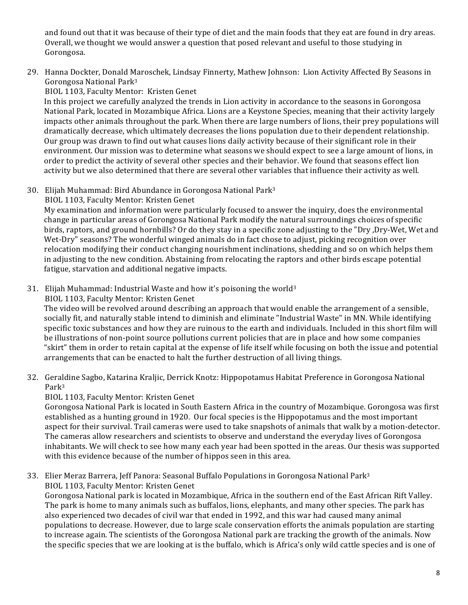and found out that it was because of their type of diet and the main foods that they eat are found in dry areas. Overall, we thought we would answer a question that posed relevant and useful to those studying in Gorongosa.

29. Hanna Dockter, Donald Maroschek, Lindsay Finnerty, Mathew Johnson: Lion Activity Affected By Seasons in Gorongosa National Park<sup>3</sup>

BIOL 1103, Faculty Mentor: Kristen Genet

In this project we carefully analyzed the trends in Lion activity in accordance to the seasons in Gorongosa National Park, located in Mozambique Africa. Lions are a Keystone Species, meaning that their activity largely impacts other animals throughout the park. When there are large numbers of lions, their prey populations will dramatically decrease, which ultimately decreases the lions population due to their dependent relationship. Our group was drawn to find out what causes lions daily activity because of their significant role in their environment. Our mission was to determine what seasons we should expect to see a large amount of lions, in order to predict the activity of several other species and their behavior. We found that seasons effect lion activity but we also determined that there are several other variables that influence their activity as well.

30. Elijah Muhammad: Bird Abundance in Gorongosa National Park<sup>3</sup>

BIOL 1103, Faculty Mentor: Kristen Genet

My examination and information were particularly focused to answer the inquiry, does the environmental change in particular areas of Gorongosa National Park modify the natural surroundings choices of specific birds, raptors, and ground hornbills? Or do they stay in a specific zone adjusting to the "Dry ,Dry-Wet, Wet and Wet-Dry" seasons? The wonderful winged animals do in fact chose to adjust, picking recognition over relocation modifying their conduct changing nourishment inclinations, shedding and so on which helps them in adjusting to the new condition. Abstaining from relocating the raptors and other birds escape potential fatigue, starvation and additional negative impacts.

31. Elijah Muhammad: Industrial Waste and how it's poisoning the world<sup>3</sup>

BIOL 1103, Faculty Mentor: Kristen Genet

The video will be revolved around describing an approach that would enable the arrangement of a sensible, socially fit, and naturally stable intend to diminish and eliminate "Industrial Waste" in MN. While identifying specific toxic substances and how they are ruinous to the earth and individuals. Included in this short film will be illustrations of non-point source pollutions current policies that are in place and how some companies "skirt" them in order to retain capital at the expense of life itself while focusing on both the issue and potential arrangements that can be enacted to halt the further destruction of all living things.

32. Geraldine Sagbo, Katarina Kraljic, Derrick Knotz: Hippopotamus Habitat Preference in Gorongosa National Park3

BIOL 1103, Faculty Mentor: Kristen Genet

Gorongosa National Park is located in South Eastern Africa in the country of Mozambique. Gorongosa was first established as a hunting ground in 1920. Our focal species is the Hippopotamus and the most important aspect for their survival. Trail cameras were used to take snapshots of animals that walk by a motion-detector. The cameras allow researchers and scientists to observe and understand the everyday lives of Gorongosa inhabitants. We will check to see how many each year had been spotted in the areas. Our thesis was supported with this evidence because of the number of hippos seen in this area.

33. Elier Meraz Barrera, Jeff Panora: Seasonal Buffalo Populations in Gorongosa National Park<sup>3</sup> BIOL 1103, Faculty Mentor: Kristen Genet

Gorongosa National park is located in Mozambique, Africa in the southern end of the East African Rift Valley. The park is home to many animals such as buffalos, lions, elephants, and many other species. The park has also experienced two decades of civil war that ended in 1992, and this war had caused many animal populations to decrease. However, due to large scale conservation efforts the animals population are starting to increase again. The scientists of the Gorongosa National park are tracking the growth of the animals. Now the specific species that we are looking at is the buffalo, which is Africa's only wild cattle species and is one of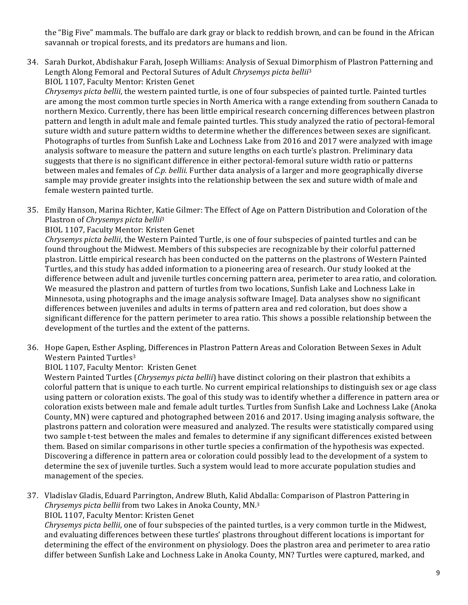the "Big Five" mammals. The buffalo are dark gray or black to reddish brown, and can be found in the African savannah or tropical forests, and its predators are humans and lion.

34. Sarah Durkot, Abdishakur Farah, Joseph Williams: Analysis of Sexual Dimorphism of Plastron Patterning and Length Along Femoral and Pectoral Sutures of Adult Chrysemys picta bellii<sup>3</sup>

BIOL 1107, Faculty Mentor: Kristen Genet

*Chrysemys picta bellii*, the western painted turtle, is one of four subspecies of painted turtle. Painted turtles are among the most common turtle species in North America with a range extending from southern Canada to northern Mexico. Currently, there has been little empirical research concerning differences between plastron pattern and length in adult male and female painted turtles. This study analyzed the ratio of pectoral-femoral suture width and suture pattern widths to determine whether the differences between sexes are significant. Photographs of turtles from Sunfish Lake and Lochness Lake from 2016 and 2017 were analyzed with image analysis software to measure the pattern and suture lengths on each turtle's plastron. Preliminary data suggests that there is no significant difference in either pectoral-femoral suture width ratio or patterns between males and females of *C.p. bellii*. Further data analysis of a larger and more geographically diverse sample may provide greater insights into the relationship between the sex and suture width of male and female western painted turtle.

35. Emily Hanson, Marina Richter, Katie Gilmer: The Effect of Age on Pattern Distribution and Coloration of the Plastron of *Chrysemys picta bellii*<sup>3</sup>

BIOL 1107, Faculty Mentor: Kristen Genet

*Chrysemys picta bellii*, the Western Painted Turtle, is one of four subspecies of painted turtles and can be found throughout the Midwest. Members of this subspecies are recognizable by their colorful patterned plastron. Little empirical research has been conducted on the patterns on the plastrons of Western Painted Turtles, and this study has added information to a pioneering area of research. Our study looked at the difference between adult and juvenile turtles concerning pattern area, perimeter to area ratio, and coloration. We measured the plastron and pattern of turtles from two locations, Sunfish Lake and Lochness Lake in Minnesota, using photographs and the image analysis software ImageJ. Data analyses show no significant differences between juveniles and adults in terms of pattern area and red coloration, but does show a significant difference for the pattern perimeter to area ratio. This shows a possible relationship between the development of the turtles and the extent of the patterns.

36. Hope Gapen, Esther Aspling, Differences in Plastron Pattern Areas and Coloration Between Sexes in Adult Western Painted Turtles<sup>3</sup>

# BIOL 1107, Faculty Mentor: Kristen Genet

Western Painted Turtles (Chrysemys picta bellii) have distinct coloring on their plastron that exhibits a colorful pattern that is unique to each turtle. No current empirical relationships to distinguish sex or age class using pattern or coloration exists. The goal of this study was to identify whether a difference in pattern area or coloration exists between male and female adult turtles. Turtles from Sunfish Lake and Lochness Lake (Anoka County, MN) were captured and photographed between 2016 and 2017. Using imaging analysis software, the plastrons pattern and coloration were measured and analyzed. The results were statistically compared using two sample t-test between the males and females to determine if any significant differences existed between them. Based on similar comparisons in other turtle species a confirmation of the hypothesis was expected. Discovering a difference in pattern area or coloration could possibly lead to the development of a system to determine the sex of juvenile turtles. Such a system would lead to more accurate population studies and management of the species.

37. Vladislav Gladis, Eduard Parrington, Andrew Bluth, Kalid Abdalla: Comparison of Plastron Pattering in *Chrysemys picta bellii* from two Lakes in Anoka County, MN.<sup>3</sup>

BIOL 1107, Faculty Mentor: Kristen Genet

*Chrysemys picta bellii*, one of four subspecies of the painted turtles, is a very common turtle in the Midwest, and evaluating differences between these turtles' plastrons throughout different locations is important for determining the effect of the environment on physiology. Does the plastron area and perimeter to area ratio differ between Sunfish Lake and Lochness Lake in Anoka County, MN? Turtles were captured, marked, and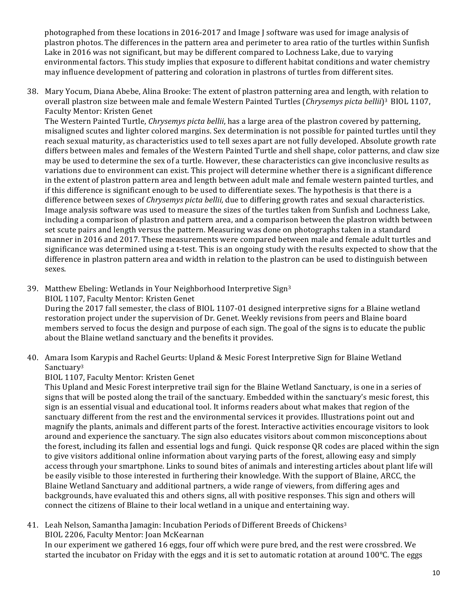photographed from these locations in 2016-2017 and Image J software was used for image analysis of plastron photos. The differences in the pattern area and perimeter to area ratio of the turtles within Sunfish Lake in 2016 was not significant, but may be different compared to Lochness Lake, due to varying environmental factors. This study implies that exposure to different habitat conditions and water chemistry may influence development of pattering and coloration in plastrons of turtles from different sites.

38. Mary Yocum, Diana Abebe, Alina Brooke: The extent of plastron patterning area and length, with relation to overall plastron size between male and female Western Painted Turtles (*Chrysemys picta bellii*)<sup>3</sup> BIOL 1107, Faculty Mentor: Kristen Genet

The Western Painted Turtle, *Chrysemys picta bellii*, has a large area of the plastron covered by patterning, misaligned scutes and lighter colored margins. Sex determination is not possible for painted turtles until they reach sexual maturity, as characteristics used to tell sexes apart are not fully developed. Absolute growth rate differs between males and females of the Western Painted Turtle and shell shape, color patterns, and claw size may be used to determine the sex of a turtle. However, these characteristics can give inconclusive results as variations due to environment can exist. This project will determine whether there is a significant difference in the extent of plastron pattern area and length between adult male and female western painted turtles, and if this difference is significant enough to be used to differentiate sexes. The hypothesis is that there is a difference between sexes of *Chrysemys picta bellii*, due to differing growth rates and sexual characteristics. Image analysis software was used to measure the sizes of the turtles taken from Sunfish and Lochness Lake, including a comparison of plastron and pattern area, and a comparison between the plastron width between set scute pairs and length versus the pattern. Measuring was done on photographs taken in a standard manner in 2016 and 2017. These measurements were compared between male and female adult turtles and significance was determined using a t-test. This is an ongoing study with the results expected to show that the difference in plastron pattern area and width in relation to the plastron can be used to distinguish between sexes. 

39. Matthew Ebeling: Wetlands in Your Neighborhood Interpretive Sign<sup>3</sup>

**BIOL 1107, Faculty Mentor: Kristen Genet** 

During the 2017 fall semester, the class of BIOL 1107-01 designed interpretive signs for a Blaine wetland restoration project under the supervision of Dr. Genet. Weekly revisions from peers and Blaine board members served to focus the design and purpose of each sign. The goal of the signs is to educate the public about the Blaine wetland sanctuary and the benefits it provides.

40. Amara Isom Karypis and Rachel Geurts: Upland & Mesic Forest Interpretive Sign for Blaine Wetland Sanctuary3

# BIOL 1107, Faculty Mentor: Kristen Genet

This Upland and Mesic Forest interpretive trail sign for the Blaine Wetland Sanctuary, is one in a series of signs that will be posted along the trail of the sanctuary. Embedded within the sanctuary's mesic forest, this sign is an essential visual and educational tool. It informs readers about what makes that region of the sanctuary different from the rest and the environmental services it provides. Illustrations point out and magnify the plants, animals and different parts of the forest. Interactive activities encourage visitors to look around and experience the sanctuary. The sign also educates visitors about common misconceptions about the forest, including its fallen and essential logs and fungi. Quick response QR codes are placed within the sign to give visitors additional online information about varying parts of the forest, allowing easy and simply access through your smartphone. Links to sound bites of animals and interesting articles about plant life will be easily visible to those interested in furthering their knowledge. With the support of Blaine, ARCC, the Blaine Wetland Sanctuary and additional partners, a wide range of viewers, from differing ages and backgrounds, have evaluated this and others signs, all with positive responses. This sign and others will connect the citizens of Blaine to their local wetland in a unique and entertaining way.

## 41. Leah Nelson, Samantha Jamagin: Incubation Periods of Different Breeds of Chickens<sup>3</sup> BIOL 2206, Faculty Mentor: Joan McKearnan

In our experiment we gathered 16 eggs, four off which were pure bred, and the rest were crossbred. We started the incubator on Friday with the eggs and it is set to automatic rotation at around 100°C. The eggs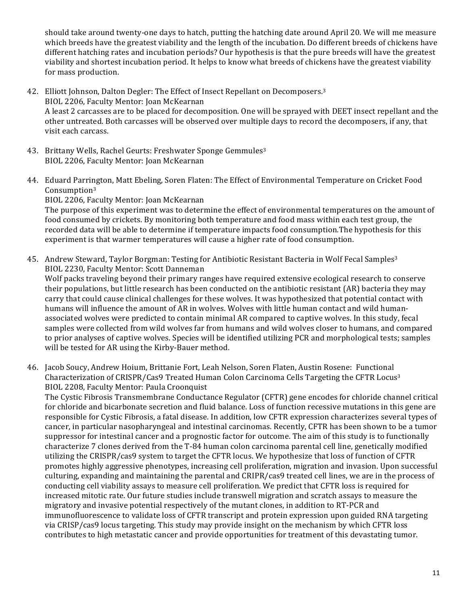should take around twenty-one days to hatch, putting the hatching date around April 20. We will me measure which breeds have the greatest viability and the length of the incubation. Do different breeds of chickens have different hatching rates and incubation periods? Our hypothesis is that the pure breeds will have the greatest viability and shortest incubation period. It helps to know what breeds of chickens have the greatest viability for mass production.

- 42. Elliott Johnson, Dalton Degler: The Effect of Insect Repellant on Decomposers.<sup>3</sup> BIOL 2206, Faculty Mentor: Joan McKearnan A least 2 carcasses are to be placed for decomposition. One will be sprayed with DEET insect repellant and the other untreated. Both carcasses will be observed over multiple days to record the decomposers, if any, that visit each carcass.
- 43. Brittany Wells, Rachel Geurts: Freshwater Sponge Gemmules<sup>3</sup> BIOL 2206, Faculty Mentor: Joan McKearnan
- 44. Eduard Parrington, Matt Ebeling, Soren Flaten: The Effect of Environmental Temperature on Cricket Food Consumption3

BIOL 2206, Faculty Mentor: Joan McKearnan

The purpose of this experiment was to determine the effect of environmental temperatures on the amount of food consumed by crickets. By monitoring both temperature and food mass within each test group, the recorded data will be able to determine if temperature impacts food consumption. The hypothesis for this experiment is that warmer temperatures will cause a higher rate of food consumption.

45. Andrew Steward, Taylor Borgman: Testing for Antibiotic Resistant Bacteria in Wolf Fecal Samples<sup>3</sup> BIOL 2230, Faculty Mentor: Scott Danneman

Wolf packs traveling beyond their primary ranges have required extensive ecological research to conserve their populations, but little research has been conducted on the antibiotic resistant (AR) bacteria they may carry that could cause clinical challenges for these wolves. It was hypothesized that potential contact with humans will influence the amount of AR in wolves. Wolves with little human contact and wild humanassociated wolves were predicted to contain minimal AR compared to captive wolves. In this study, fecal samples were collected from wild wolves far from humans and wild wolves closer to humans, and compared to prior analyses of captive wolves. Species will be identified utilizing PCR and morphological tests; samples will be tested for AR using the Kirby-Bauer method.

46. Jacob Soucy, Andrew Hoium, Brittanie Fort, Leah Nelson, Soren Flaten, Austin Rosene: Functional Characterization of CRISPR/Cas9 Treated Human Colon Carcinoma Cells Targeting the CFTR Locus<sup>3</sup> BIOL 2208, Faculty Mentor: Paula Croonquist

The Cystic Fibrosis Transmembrane Conductance Regulator (CFTR) gene encodes for chloride channel critical for chloride and bicarbonate secretion and fluid balance. Loss of function recessive mutations in this gene are responsible for Cystic Fibrosis, a fatal disease. In addition, low CFTR expression characterizes several types of cancer, in particular nasopharyngeal and intestinal carcinomas. Recently, CFTR has been shown to be a tumor suppressor for intestinal cancer and a prognostic factor for outcome. The aim of this study is to functionally characterize 7 clones derived from the T-84 human colon carcinoma parental cell line, genetically modified utilizing the CRISPR/cas9 system to target the CFTR locus. We hypothesize that loss of function of CFTR promotes highly aggressive phenotypes, increasing cell proliferation, migration and invasion. Upon successful culturing, expanding and maintaining the parental and CRIPR/cas9 treated cell lines, we are in the process of conducting cell viability assays to measure cell proliferation. We predict that CFTR loss is required for increased mitotic rate. Our future studies include transwell migration and scratch assays to measure the migratory and invasive potential respectively of the mutant clones, in addition to RT-PCR and immunofluorescence to validate loss of CFTR transcript and protein expression upon guided RNA targeting via CRISP/cas9 locus targeting. This study may provide insight on the mechanism by which CFTR loss contributes to high metastatic cancer and provide opportunities for treatment of this devastating tumor.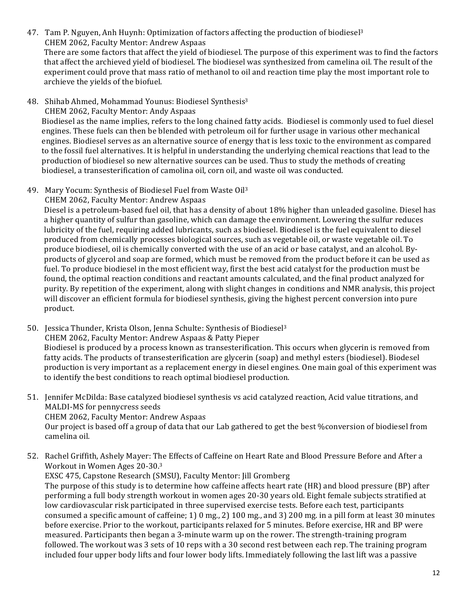- 47. Tam P. Nguyen, Anh Huynh: Optimization of factors affecting the production of biodiesel<sup>3</sup> CHEM 2062, Faculty Mentor: Andrew Aspaas There are some factors that affect the yield of biodiesel. The purpose of this experiment was to find the factors that affect the archieved yield of biodiesel. The biodiesel was synthesized from camelina oil. The result of the experiment could prove that mass ratio of methanol to oil and reaction time play the most important role to archieve the yields of the biofuel.
- 48. Shihab Ahmed, Mohammad Younus: Biodiesel Synthesis<sup>3</sup>

CHEM 2062, Faculty Mentor: Andy Aspaas Biodiesel as the name implies, refers to the long chained fatty acids. Biodiesel is commonly used to fuel diesel engines. These fuels can then be blended with petroleum oil for further usage in various other mechanical engines. Biodiesel serves as an alternative source of energy that is less toxic to the environment as compared to the fossil fuel alternatives. It is helpful in understanding the underlying chemical reactions that lead to the production of biodiesel so new alternative sources can be used. Thus to study the methods of creating biodiesel, a transesterification of camolina oil, corn oil, and waste oil was conducted.

49. Mary Yocum: Synthesis of Biodiesel Fuel from Waste Oil<sup>3</sup>

CHEM 2062, Faculty Mentor: Andrew Aspaas

Diesel is a petroleum-based fuel oil, that has a density of about 18% higher than unleaded gasoline. Diesel has a higher quantity of sulfur than gasoline, which can damage the environment. Lowering the sulfur reduces lubricity of the fuel, requiring added lubricants, such as biodiesel. Biodiesel is the fuel equivalent to diesel produced from chemically processes biological sources, such as vegetable oil, or waste vegetable oil. To produce biodiesel, oil is chemically converted with the use of an acid or base catalyst, and an alcohol. Byproducts of glycerol and soap are formed, which must be removed from the product before it can be used as fuel. To produce biodiesel in the most efficient way, first the best acid catalyst for the production must be found, the optimal reaction conditions and reactant amounts calculated, and the final product analyzed for purity. By repetition of the experiment, along with slight changes in conditions and NMR analysis, this project will discover an efficient formula for biodiesel synthesis, giving the highest percent conversion into pure product. 

- 50. Jessica Thunder, Krista Olson, Jenna Schulte: Synthesis of Biodiesel<sup>3</sup> CHEM 2062, Faculty Mentor: Andrew Aspaas & Patty Pieper Biodiesel is produced by a process known as transesterification. This occurs when glycerin is removed from fatty acids. The products of transesterification are glycerin (soap) and methyl esters (biodiesel). Biodesel production is very important as a replacement energy in diesel engines. One main goal of this experiment was to identify the best conditions to reach optimal biodiesel production.
- 51. Jennifer McDilda: Base catalyzed biodiesel synthesis vs acid catalyzed reaction, Acid value titrations, and MALDI-MS for pennycress seeds

CHEM 2062, Faculty Mentor: Andrew Aspaas

Our project is based off a group of data that our Lab gathered to get the best % conversion of biodiesel from camelina oil.

52. Rachel Griffith, Ashely Mayer: The Effects of Caffeine on Heart Rate and Blood Pressure Before and After a Workout in Women Ages 20-30.3

EXSC 475, Capstone Research (SMSU), Faculty Mentor: Jill Gromberg The purpose of this study is to determine how caffeine affects heart rate (HR) and blood pressure (BP) after performing a full body strength workout in women ages 20-30 years old. Eight female subjects stratified at low cardiovascular risk participated in three supervised exercise tests. Before each test, participants consumed a specific amount of caffeine; 1) 0 mg., 2) 100 mg., and 3) 200 mg. in a pill form at least 30 minutes before exercise. Prior to the workout, participants relaxed for 5 minutes. Before exercise, HR and BP were measured. Participants then began a 3-minute warm up on the rower. The strength-training program followed. The workout was 3 sets of 10 reps with a 30 second rest between each rep. The training program included four upper body lifts and four lower body lifts. Immediately following the last lift was a passive